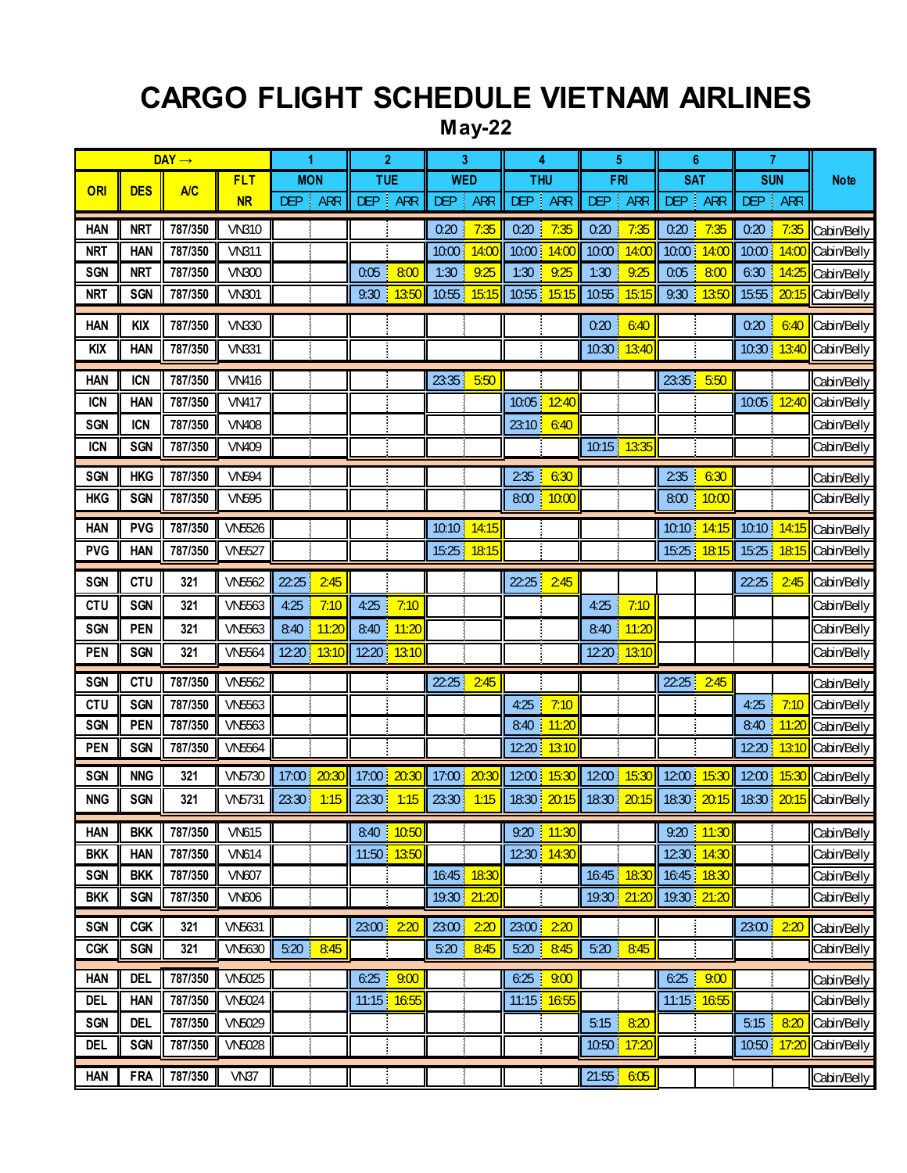## **CARGO FLIGHT SCHEDULE VIETNAM AIRLINES**

## **May-22**

|                          | $DAY \rightarrow$        |                    | 1             | $\overline{2}$ | 3                             | 4                        | 5                              | $6\phantom{1}6$               | $\overline{7}$                    |                                |                            |
|--------------------------|--------------------------|--------------------|---------------|----------------|-------------------------------|--------------------------|--------------------------------|-------------------------------|-----------------------------------|--------------------------------|----------------------------|
|                          |                          |                    | <b>FLT</b>    | <b>MON</b>     | <b>TUE</b>                    | <b>WED</b>               | <b>THU</b>                     | <b>FRI</b>                    | <b>SAT</b>                        | <b>SUN</b>                     | <b>Note</b>                |
| ORI                      | <b>DES</b>               | <b>A/C</b>         | <b>NR</b>     | DEP  <br>ARR   | <b>DEP</b><br><b>ARR</b><br>÷ | <b>DEP</b><br><b>ARR</b> | DEP  <br><b>ARR</b>            | <b>DEP</b><br><b>ARR</b><br>÷ | <b>DEP</b><br><b>ARR</b><br>š     | DEP   ARR                      |                            |
| <b>HAN</b>               | <b>NRT</b>               | 787/350            | <b>VN310</b>  |                |                               | 7:35<br>0:20             | 0:20<br>7:35                   | 0:20<br>7:35                  | 0:20<br>7:35                      | 0:20<br>7:35<br>T              | Cabin/Belly                |
| <b>NRT</b>               | <b>HAN</b>               | 787/350            | <b>VN311</b>  |                |                               | 10:00<br>14:00           | 10:00<br>14:00                 | 10:00<br>14:00                | 10:00<br>14:00                    | 10:00 14:00                    | Cabin/Belly                |
| <b>SGN</b>               | <b>NRT</b>               | 787/350            | <b>VN300</b>  |                | 8:00<br>0:05                  | 9:25<br>1:30             | 9:25<br>1:30                   | 1:30<br>9:25                  | 8:00<br>0:05                      | 6:30<br>14:25<br>T             | Cabin/Belly                |
| <b>NRT</b>               | <b>SGN</b>               | 787/350            | <b>VN301</b>  |                | 13:50<br>9:30                 | 15:15<br>10:55           | 15:15<br>10:55                 | 10:55<br>15:15                | 9:30<br>13:50<br>ĵ.               | 20:15<br>15:55                 | Cabin/Belly                |
| <b>HAN</b>               | <b>KIX</b>               | 787/350            | <b>VN330</b>  |                |                               |                          |                                | 0:20<br>J.<br>6:40            |                                   | 0:20<br>J<br>6:40              | Cabin/Belly                |
| <b>KIX</b>               | <b>HAN</b>               | 787/350            | <b>VN331</b>  |                |                               |                          |                                | 10:30 13:40                   |                                   | 10:30 13:40                    | Cabin/Belly                |
| <b>HAN</b>               | <b>ICN</b>               | 787/350            | <b>VN416</b>  |                |                               | 23:35<br>5:50            |                                |                               | 23:35<br>5:50                     |                                |                            |
| <b>ICN</b>               | <b>HAN</b>               | 787/350            | <b>VN417</b>  |                |                               |                          | 10:05<br>12:40                 |                               |                                   | 10:05 12:40                    | Cabin/Belly<br>Cabin/Belly |
| <b>SGN</b>               | <b>ICN</b>               | 787/350            | <b>VN408</b>  |                |                               |                          | 23:10<br>6:40                  |                               |                                   |                                | Cabin/Belly                |
| <b>ICN</b>               | <b>SGN</b>               | 787/350            | <b>VN409</b>  |                |                               |                          |                                | 10:15 13:35                   |                                   |                                | Cabin/Belly                |
|                          |                          |                    |               |                |                               |                          |                                |                               |                                   |                                |                            |
| <b>SGN</b>               | <b>HKG</b>               | 787/350            | <b>VN594</b>  |                |                               |                          | 2:35<br>6:30                   |                               | 2:35<br>6:30                      |                                | Cabin/Belly                |
| <b>HKG</b>               | <b>SGN</b>               | 787/350            | <b>VN595</b>  |                |                               |                          | 10:00<br>8:00                  |                               | 10:00<br>8:00                     |                                | Cabin/Belly                |
| <b>HAN</b>               | <b>PVG</b>               | 787/350            | <b>VN5526</b> |                |                               | 10:10 14:15              |                                |                               | 10:10<br>14:15                    | 10:10 14:15                    | Cabin/Belly                |
| <b>PVG</b>               | <b>HAN</b>               | 787/350            | <b>VN5527</b> |                |                               | 15:25<br>18:15           |                                |                               | 18:15<br>15:25                    | 15:25<br>18:15                 | Cabin/Belly                |
| <b>SGN</b>               | <b>CTU</b>               | 321                | <b>VN5562</b> | 22:25<br>2:45  |                               |                          | 22:25<br>2:45                  |                               |                                   | 22:25<br>2:45<br>T             | Cabin/Belly                |
| <b>CTU</b>               | <b>SGN</b>               | 321                | <b>VN5563</b> | 4:25<br>7:10   | 7:10<br>4:25                  |                          |                                | 7:10<br>4:25                  |                                   |                                | Cabin/Belly                |
| <b>SGN</b>               | <b>PEN</b>               | 321                | <b>VN5563</b> | 11:20<br>8:40  | 11:20<br>8:40                 |                          |                                | 11:20<br>8:40                 |                                   |                                | Cabin/Belly                |
| <b>PEN</b>               | <b>SGN</b>               | 321                | <b>VN5564</b> | 12:20<br>13:10 | 12:20<br>13:10                |                          |                                | 13:10<br>12:20<br>ł           |                                   |                                | Cabin/Belly                |
| <b>SGN</b>               | <b>CTU</b>               | 787/350            | <b>VN5562</b> |                |                               | 22:25<br>2:45            |                                |                               | 22:25<br>2:45                     |                                | Cabin/Belly                |
| <b>CTU</b>               | <b>SGN</b>               | 787/350            | VN5563        |                |                               |                          | 4:25<br>7:10                   |                               |                                   | 7:10<br>4:25<br>J.             | Cabin/Belly                |
| <b>SGN</b>               | <b>PEN</b>               | 787/350            | <b>VN5563</b> |                |                               |                          | 11:20<br>8:40                  |                               |                                   | 11:20<br>8:40<br>÷,            | Cabin/Belly                |
| <b>PEN</b>               | <b>SGN</b>               | 787/350            | <b>VN5564</b> |                |                               |                          | 13:10<br>12:20                 |                               |                                   | 12:20 13:10                    | Cabin/Belly                |
| <b>SGN</b>               | <b>NNG</b>               | 321                | VN5730        | 20:30<br>17:00 | 20:30<br>17:00                | 17:00<br>20:30           | 12:00<br>15:30                 | 12:00 15:30                   | 12:00<br>15:30                    | 12:00 15:30                    | Cabin/Belly                |
| <b>NNG</b>               | <b>SGN</b>               | 321                | <b>VN5731</b> | 23:30<br>1:15  | 23:30<br>1:15                 | 23:30<br>1:15            | 18:30<br>20:15                 | 18:30 20:15 18:30             | 20:15                             | 18:30 20:15                    | Cabin/Belly                |
| <b>HAN</b>               | <b>BKK</b>               | 787/350            | <b>VN615</b>  |                | 10:50<br>8:40                 |                          | 9:20<br>11:30<br>T.            |                               | 9:20<br>11:30                     |                                | Cabin/Belly                |
| <b>BKK</b>               | <b>HAN</b>               | 787/350            | <b>VN614</b>  |                | 11:50 13:50                   |                          | 12:30<br>14:30                 |                               | 12:30<br>14:30                    |                                | Cabin/Belly                |
| <b>SGN</b>               | <b>BKK</b>               | 787/350            | <b>VN607</b>  |                |                               | 16:45<br>18:30           |                                | 18:30<br>16:45                | 16:45<br>18:30                    |                                | Cabin/Belly                |
| <b>BKK</b>               | <b>SGN</b>               | 787/350            | <b>VN606</b>  |                |                               | 19:30<br>21:20           |                                | 19:30 21:20                   | 19:30 21:20                       |                                | Cabin/Belly                |
| <b>SGN</b>               | <b>CGK</b>               | 321                | <b>VN5631</b> |                | 23:00<br>2:20                 | 23:00<br>2:20            | 23:00<br>2:20                  |                               |                                   | 23:00 2:20                     | Cabin/Belly                |
| <b>CGK</b>               | <b>SGN</b>               | 321                | VN5630        | 5:20<br>8:45   |                               | 8:45<br>5:20             | 5:20<br>8:45                   | 5:20<br>8:45                  |                                   |                                | Cabin/Belly                |
|                          |                          | 787/350            | <b>VN5025</b> |                | d,                            |                          |                                |                               |                                   |                                |                            |
| <b>HAN</b><br><b>DEL</b> | <b>DEL</b><br><b>HAN</b> | 787/350            | <b>VN5024</b> |                | 9:00<br>6:25<br>11:15 16:55   |                          | 6:25<br>9:00<br>16:55<br>11:15 |                               | 6:25<br>J.<br>9:00<br>11:15 16:55 |                                | Cabin/Belly                |
|                          |                          |                    |               |                |                               |                          |                                |                               |                                   |                                | Cabin/Belly                |
| <b>SGN</b>               | <b>DEL</b>               | 787/350<br>787/350 | VN5029        |                |                               |                          |                                | 8:20<br>5:15                  |                                   | 5:15<br>8:20<br>10:50<br>17:20 | Cabin/Belly<br>Cabin/Belly |
| <b>DEL</b>               | <b>SGN</b>               |                    | <b>VN5028</b> |                |                               |                          |                                | 17:20<br>10:50                |                                   |                                |                            |
| <b>HAN</b>               | <b>FRA</b>               | 787/350            | VN37          |                |                               |                          |                                | $21:55$ 6:05                  |                                   |                                | Cabin/Belly                |